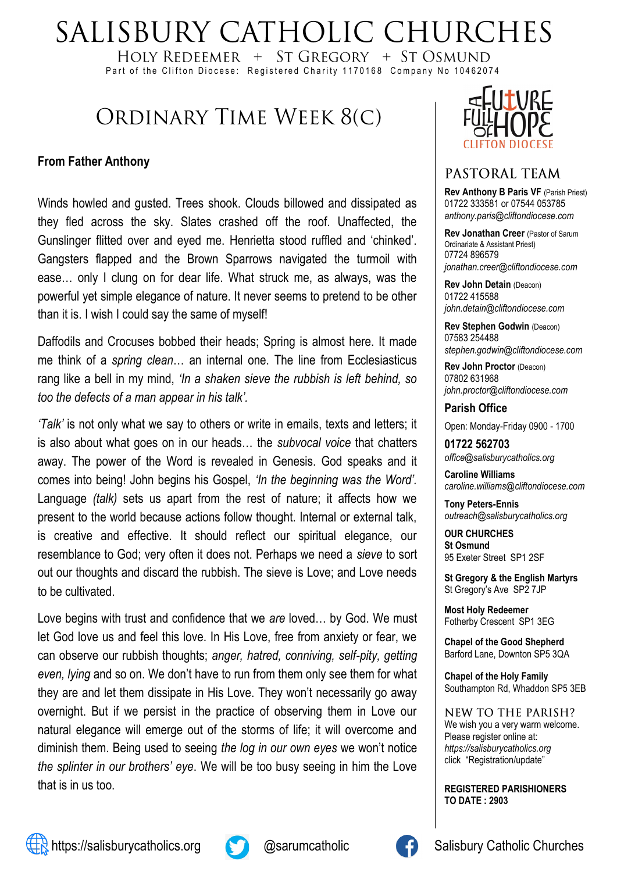# SALISBURY CATHOLIC CHURCHES

HOLY REDEEMER  $+$  ST GREGORY  $+$  ST OSMUND Part of the Clifton Diocese: Registered Charity 1170168 Company No 10462074

## ORDINARY TIME WEEK 8(C)

#### **From Father Anthony**

Winds howled and gusted. Trees shook. Clouds billowed and dissipated as they fled across the sky. Slates crashed off the roof. Unaffected, the Gunslinger flitted over and eyed me. Henrietta stood ruffled and 'chinked'. Gangsters flapped and the Brown Sparrows navigated the turmoil with ease… only I clung on for dear life. What struck me, as always, was the powerful yet simple elegance of nature. It never seems to pretend to be other than it is. I wish I could say the same of myself!

Daffodils and Crocuses bobbed their heads; Spring is almost here. It made me think of a *spring clean*… an internal one. The line from Ecclesiasticus rang like a bell in my mind, *'In a shaken sieve the rubbish is left behind, so too the defects of a man appear in his talk'.* 

*'Talk'* is not only what we say to others or write in emails, texts and letters; it is also about what goes on in our heads… the *subvocal voice* that chatters away. The power of the Word is revealed in Genesis. God speaks and it comes into being! John begins his Gospel, *'In the beginning was the Word'.* Language *(talk)* sets us apart from the rest of nature; it affects how we present to the world because actions follow thought. Internal or external talk, is creative and effective. It should reflect our spiritual elegance, our resemblance to God; very often it does not. Perhaps we need a *sieve* to sort out our thoughts and discard the rubbish. The sieve is Love; and Love needs to be cultivated.

Love begins with trust and confidence that we *are* loved… by God. We must let God love us and feel this love. In His Love, free from anxiety or fear, we can observe our rubbish thoughts; *anger, hatred, conniving, self-pity, getting even, lying* and so on. We don't have to run from them only see them for what they are and let them dissipate in His Love. They won't necessarily go away overnight. But if we persist in the practice of observing them in Love our natural elegance will emerge out of the storms of life; it will overcome and diminish them. Being used to seeing *the log in our own eyes* we won't notice *the splinter in our brothers' eye*. We will be too busy seeing in him the Love that is in us too.



#### PASTORAL TEAM

**Rev Anthony B Paris VF (Parish Priest)** 01722 333581 or 07544 053785 *anthony.paris@cliftondiocese.com*

**Rev Jonathan Creer** (Pastor of Sarum Ordinariate & Assistant Priest) 07724 896579 *jonathan.creer@cliftondiocese.com*

**Rev John Detain** (Deacon) 01722 415588 *john.detain@cliftondiocese.com*

**Rev Stephen Godwin** (Deacon) 07583 254488 *stephen.godwin@cliftondiocese.com*

**Rev John Proctor** (Deacon) 07802 631968 *john.proctor@cliftondiocese.com*

#### **Parish Office**

Open: Monday-Friday 0900 - 1700

**01722 562703** *office@salisburycatholics.org*

**Caroline Williams** *caroline.williams@cliftondiocese.com*

**Tony Peters-Ennis** *outreach@salisburycatholics.org*

**OUR CHURCHES St Osmund** 95 Exeter Street SP1 2SF

**St Gregory & the English Martyrs** St Gregory's Ave SP2 7JP

**Most Holy Redeemer**  Fotherby Crescent SP1 3EG

**Chapel of the Good Shepherd** Barford Lane, Downton SP5 3QA

**Chapel of the Holy Family** Southampton Rd, Whaddon SP5 3EB

NEW TO THE PARISH? We wish you a very warm welcome. Please register online at: *[https://salisburycatholics.org](https://p1.pamis.co.uk/salisbury/onlined01cab)*  [click "Registration/update"](https://p1.pamis.co.uk/salisbury/onlined01cab) 

**REGISTERED PARISHIONERS TO DATE : 2903**



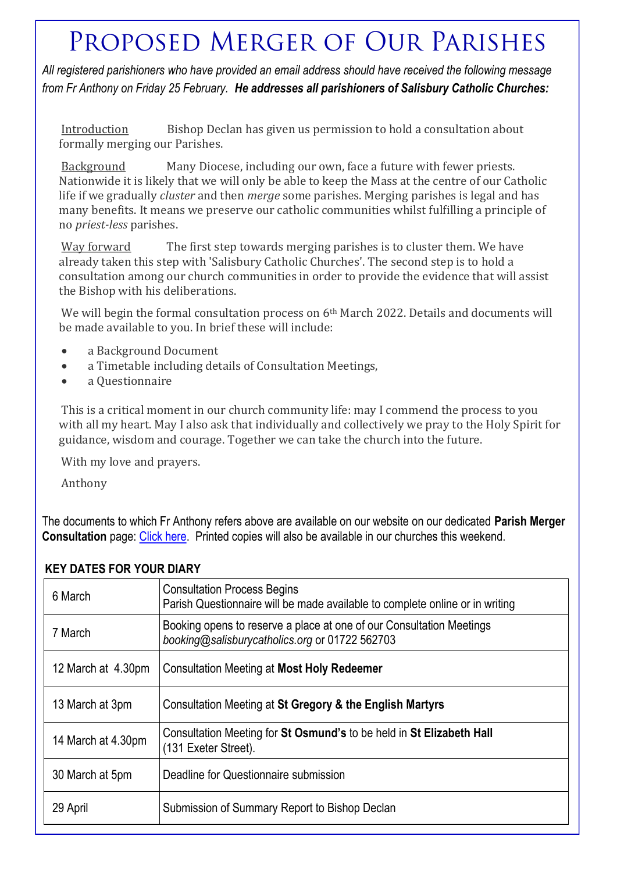## PROPOSED MERGER OF OUR PARISHES

*All registered parishioners who have provided an email address should have received the following message from Fr Anthony on Friday 25 February. He addresses all parishioners of Salisbury Catholic Churches:*

Introduction Bishop Declan has given us permission to hold a consultation about formally merging our Parishes.

Background Many Diocese, including our own, face a future with fewer priests. Nationwide it is likely that we will only be able to keep the Mass at the centre of our Catholic life if we gradually *cluster* and then *merge* some parishes. Merging parishes is legal and has many benefits. It means we preserve our catholic communities whilst fulfilling a principle of no *priest-less* parishes.

Way forward The first step towards merging parishes is to cluster them. We have already taken this step with 'Salisbury Catholic Churches'. The second step is to hold a consultation among our church communities in order to provide the evidence that will assist the Bishop with his deliberations.

We will begin the formal consultation process on 6<sup>th</sup> March 2022. Details and documents will be made available to you. In brief these will include:

- a Background Document
- a Timetable including details of Consultation Meetings,
- a Questionnaire

This is a critical moment in our church community life: may I commend the process to you with all my heart. May I also ask that individually and collectively we pray to the Holy Spirit for guidance, wisdom and courage. Together we can take the church into the future.

With my love and prayers.

Anthony

The documents to which Fr Anthony refers above are available on our website on our dedicated **Parish Merger Consultation** page: [Click here.](https://salisburycatholics.org/parish-merger) Printed copies will also be available in our churches this weekend.

| 6 March            | <b>Consultation Process Begins</b><br>Parish Questionnaire will be made available to complete online or in writing     |
|--------------------|------------------------------------------------------------------------------------------------------------------------|
| 7 March            | Booking opens to reserve a place at one of our Consultation Meetings<br>booking@salisburycatholics.org or 01722 562703 |
| 12 March at 4.30pm | <b>Consultation Meeting at Most Holy Redeemer</b>                                                                      |
| 13 March at 3pm    | Consultation Meeting at St Gregory & the English Martyrs                                                               |
| 14 March at 4.30pm | Consultation Meeting for St Osmund's to be held in St Elizabeth Hall<br>(131 Exeter Street).                           |
| 30 March at 5pm    | Deadline for Questionnaire submission                                                                                  |
| 29 April           | Submission of Summary Report to Bishop Declan                                                                          |

#### **KEY DATES FOR YOUR DIARY**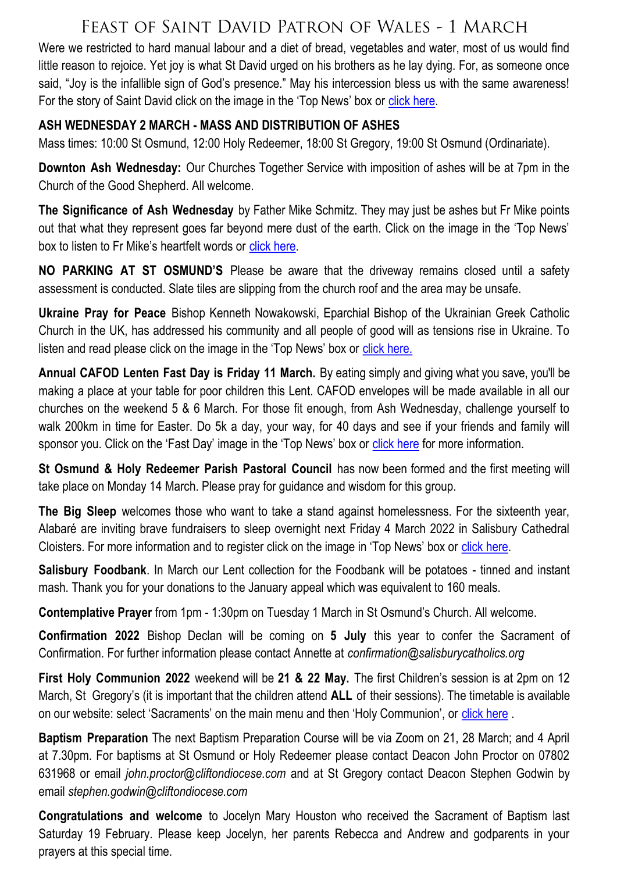## FEAST OF SAINT DAVID PATRON OF WALES - 1 MARCH

Were we restricted to hard manual labour and a diet of bread, vegetables and water, most of us would find little reason to rejoice. Yet joy is what St David urged on his brothers as he lay dying. For, as someone once said, "Joy is the infallible sign of God's presence." May his intercession bless us with the same awareness! For the story of Saint David click on the image in the 'Top News' box or [click here.](https://salisburycatholics.org/blog/saint-david-wales)

#### **ASH WEDNESDAY 2 MARCH - MASS AND DISTRIBUTION OF ASHES**

Mass times: 10:00 St Osmund, 12:00 Holy Redeemer, 18:00 St Gregory, 19:00 St Osmund (Ordinariate).

**Downton Ash Wednesday:** Our Churches Together Service with imposition of ashes will be at 7pm in the Church of the Good Shepherd. All welcome.

**The Significance of Ash Wednesday** by Father Mike Schmitz. They may just be ashes but Fr Mike points out that what they represent goes far beyond mere dust of the earth. Click on the image in the 'Top News' box to listen to Fr Mike's heartfelt words or [click here.](https://salisburycatholics.org/ash-wednesday)

**NO PARKING AT ST OSMUND'S** Please be aware that the driveway remains closed until a safety assessment is conducted. Slate tiles are slipping from the church roof and the area may be unsafe.

**Ukraine Pray for Peace** Bishop Kenneth Nowakowski, Eparchial Bishop of the Ukrainian Greek Catholic Church in the UK, has addressed his community and all people of good will as tensions rise in Ukraine. To listen and read please click on the image in the 'Top News' box or [click here.](https://salisburycatholics.org/ukraine)

**Annual CAFOD Lenten Fast Day is Friday 11 March.** By eating simply and giving what you save, you'll be making a place at your table for poor children this Lent. CAFOD envelopes will be made available in all our churches on the weekend 5 & 6 March. For those fit enough, from Ash Wednesday, challenge yourself to walk 200km in time for Easter. Do 5k a day, your way, for 40 days and see if your friends and family will sponsor you. Click on the 'Fast Day' image in the 'Top News' box or [click here](https://salisburycatholics.org/fast-2022) for more information.

**St Osmund & Holy Redeemer Parish Pastoral Council** has now been formed and the first meeting will take place on Monday 14 March. Please pray for guidance and wisdom for this group.

**The Big Sleep** welcomes those who want to take a stand against homelessness. For the sixteenth year, Alabaré are inviting brave fundraisers to sleep overnight next Friday 4 March 2022 in Salisbury Cathedral Cloisters. For more information and to register click on the image in 'Top News' box or [click here.](https://salisburycatholics.org/blog/big-sleep-0)

**Salisbury Foodbank**. In March our Lent collection for the Foodbank will be potatoes - tinned and instant mash. Thank you for your donations to the January appeal which was equivalent to 160 meals.

**Contemplative Prayer** from 1pm - 1:30pm on Tuesday 1 March in St Osmund's Church. All welcome.

**Confirmation 2022** Bishop Declan will be coming on **5 July** this year to confer the Sacrament of Confirmation. For further information please contact Annette at *confirmation@salisburycatholics.org*

**First Holy Communion 2022** weekend will be **21 & 22 May.** The first Children's session is at 2pm on 12 March, St Gregory's (it is important that the children attend **ALL** of their sessions). The timetable is available on our website: select 'Sacraments' on the main menu and then 'Holy Communion', or [click here](https://salisburycatholics.org/holy-communion) .

**Baptism Preparation** The next Baptism Preparation Course will be via Zoom on 21, 28 March; and 4 April at 7.30pm. For baptisms at St Osmund or Holy Redeemer please contact Deacon John Proctor on 07802 631968 or email *john.proctor@cliftondiocese.com* and at St Gregory contact Deacon Stephen Godwin by email *stephen.godwin@cliftondiocese.com*

**Congratulations and welcome** to Jocelyn Mary Houston who received the Sacrament of Baptism last Saturday 19 February. Please keep Jocelyn, her parents Rebecca and Andrew and godparents in your prayers at this special time.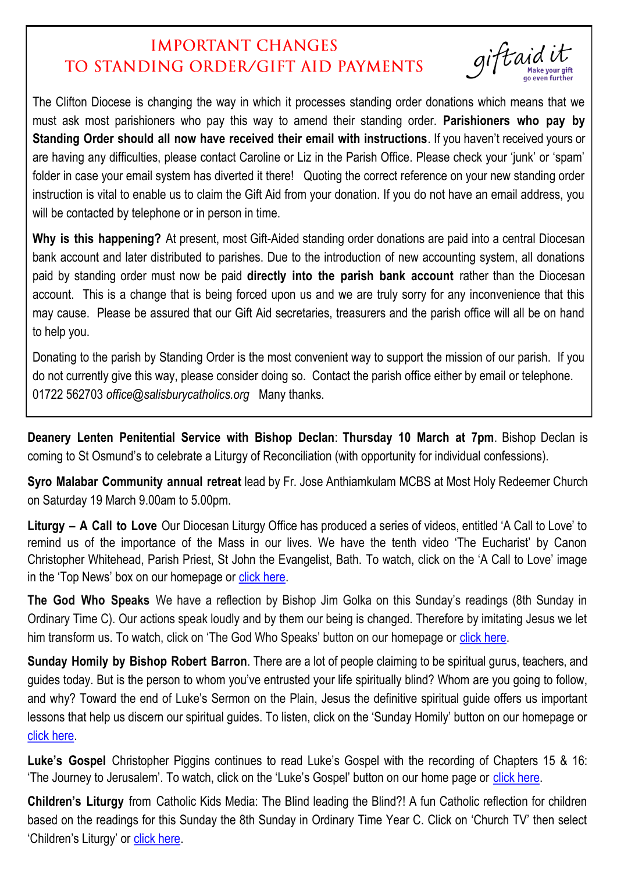## **IMPORTANT CHANGES** TO STANDING ORDER/GIFT AID PAYMENTS

giftaid

The Clifton Diocese is changing the way in which it processes standing order donations which means that we must ask most parishioners who pay this way to amend their standing order. **Parishioners who pay by Standing Order should all now have received their email with instructions**. If you haven't received yours or are having any difficulties, please contact Caroline or Liz in the Parish Office. Please check your 'junk' or 'spam' folder in case your email system has diverted it there! Quoting the correct reference on your new standing order instruction is vital to enable us to claim the Gift Aid from your donation. If you do not have an email address, you will be contacted by telephone or in person in time.

**Why is this happening?** At present, most Gift-Aided standing order donations are paid into a central Diocesan bank account and later distributed to parishes. Due to the introduction of new accounting system, all donations paid by standing order must now be paid **directly into the parish bank account** rather than the Diocesan account. This is a change that is being forced upon us and we are truly sorry for any inconvenience that this may cause. Please be assured that our Gift Aid secretaries, treasurers and the parish office will all be on hand to help you.

Donating to the parish by Standing Order is the most convenient way to support the mission of our parish. If you do not currently give this way, please consider doing so. Contact the parish office either by email or telephone. 01722 562703 *office@salisburycatholics.org* Many thanks.

**Deanery Lenten Penitential Service with Bishop Declan**: **Thursday 10 March at 7pm**. Bishop Declan is coming to St Osmund's to celebrate a Liturgy of Reconciliation (with opportunity for individual confessions).

**Syro Malabar Community annual retreat** lead by Fr. Jose Anthiamkulam MCBS at Most Holy Redeemer Church on Saturday 19 March 9.00am to 5.00pm.

**Liturgy – A Call to Love** Our Diocesan Liturgy Office has produced a series of videos, entitled 'A Call to Love' to remind us of the importance of the Mass in our lives. We have the tenth video 'The Eucharist' by Canon Christopher Whitehead, Parish Priest, St John the Evangelist, Bath. To watch, click on the 'A Call to Love' image in the 'Top News' box on our homepage or [click here.](https://salisburycatholics.org/call-love)

**The God Who Speaks** We have a reflection by Bishop Jim Golka on this Sunday's readings (8th Sunday in Ordinary Time C). Our actions speak loudly and by them our being is changed. Therefore by imitating Jesus we let him transform us. To watch, click on 'The God Who Speaks' button on our homepage or [click here.](https://salisburycatholics.org/god-who-speaks)

**Sunday Homily by Bishop Robert Barron**. There are a lot of people claiming to be spiritual gurus, teachers, and guides today. But is the person to whom you've entrusted your life spiritually blind? Whom are you going to follow, and why? Toward the end of Luke's Sermon on the Plain, Jesus the definitive spiritual guide offers us important lessons that help us discern our spiritual guides. To listen, click on the 'Sunday Homily' button on our homepage or [click here.](https://salisburycatholics.org/sunday-homily)

**Luke's Gospel** Christopher Piggins continues to read Luke's Gospel with the recording of Chapters 15 & 16: 'The Journey to Jerusalem'. To watch, click on the 'Luke's Gospel' button on our home page or [click here.](https://salisburycatholics.org/lukes-gospel)

**Children's Liturgy** from Catholic Kids Media: The Blind leading the Blind?! A fun Catholic reflection for children based on the readings for this Sunday the 8th Sunday in Ordinary Time Year C. Click on 'Church TV' then select 'Children's Liturgy' or [click here.](https://salisburycatholics.org/childrens-liturgy)